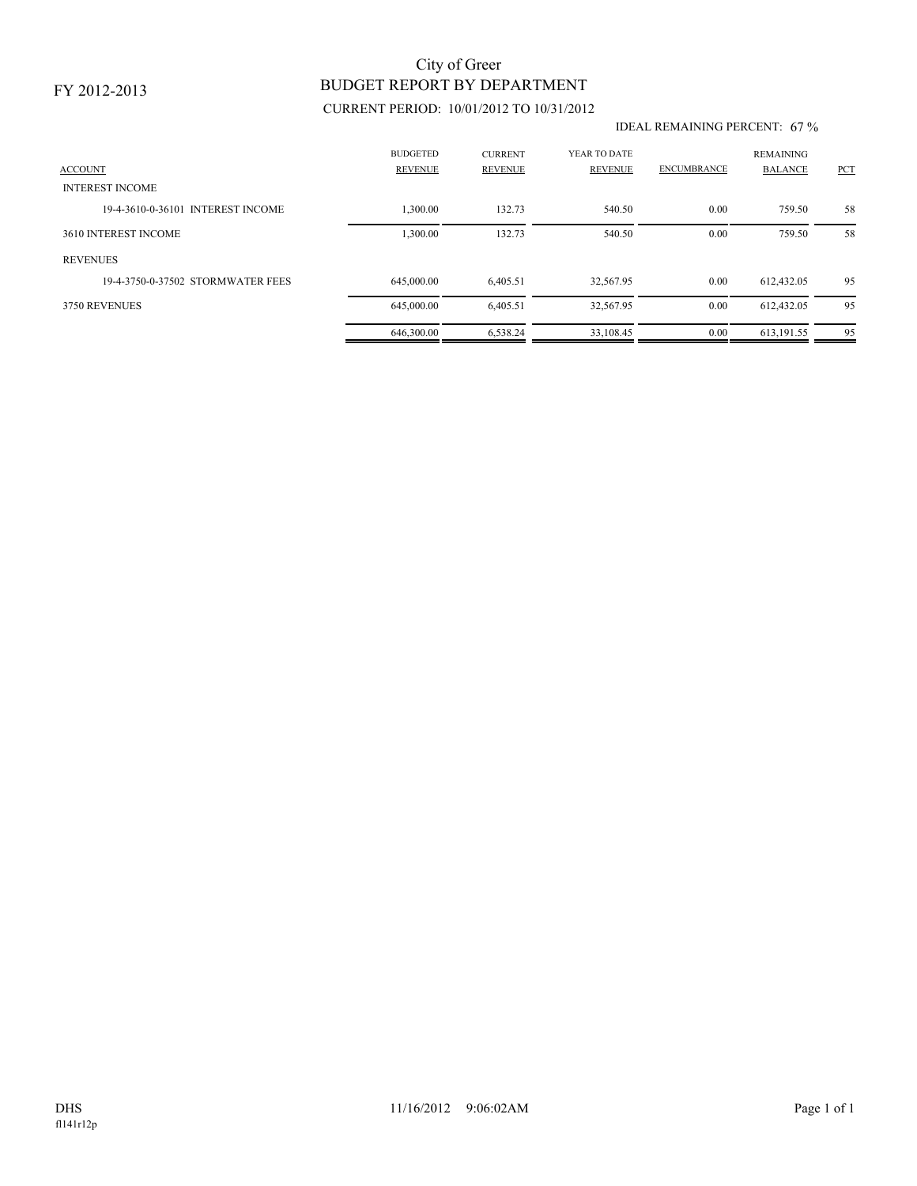# BUDGET REPORT BY DEPARTMENT City of Greer

## CURRENT PERIOD: 10/01/2012 TO 10/31/2012

#### IDEAL REMAINING PERCENT: 67 %

| <b>ACCOUNT</b><br><b>INTEREST INCOME</b> | <b>BUDGETED</b><br><b>REVENUE</b> | <b>CURRENT</b><br><b>REVENUE</b> | YEAR TO DATE<br><b>REVENUE</b> | <b>ENCUMBRANCE</b> | <b>REMAINING</b><br><b>BALANCE</b> | PCT |
|------------------------------------------|-----------------------------------|----------------------------------|--------------------------------|--------------------|------------------------------------|-----|
| 19-4-3610-0-36101 INTEREST INCOME        | 1,300.00                          | 132.73                           | 540.50                         | 0.00               | 759.50                             | 58  |
| 3610 INTEREST INCOME                     | 1,300.00                          | 132.73                           | 540.50                         | 0.00               | 759.50                             | 58  |
| <b>REVENUES</b>                          |                                   |                                  |                                |                    |                                    |     |
| 19-4-3750-0-37502 STORMWATER FEES        | 645,000.00                        | 6.405.51                         | 32.567.95                      | 0.00               | 612.432.05                         | 95  |
| 3750 REVENUES                            | 645,000.00                        | 6,405.51                         | 32,567.95                      | 0.00               | 612.432.05                         | 95  |
|                                          | 646,300.00                        | 6.538.24                         | 33.108.45                      | 0.00               | 613,191.55                         | 95  |